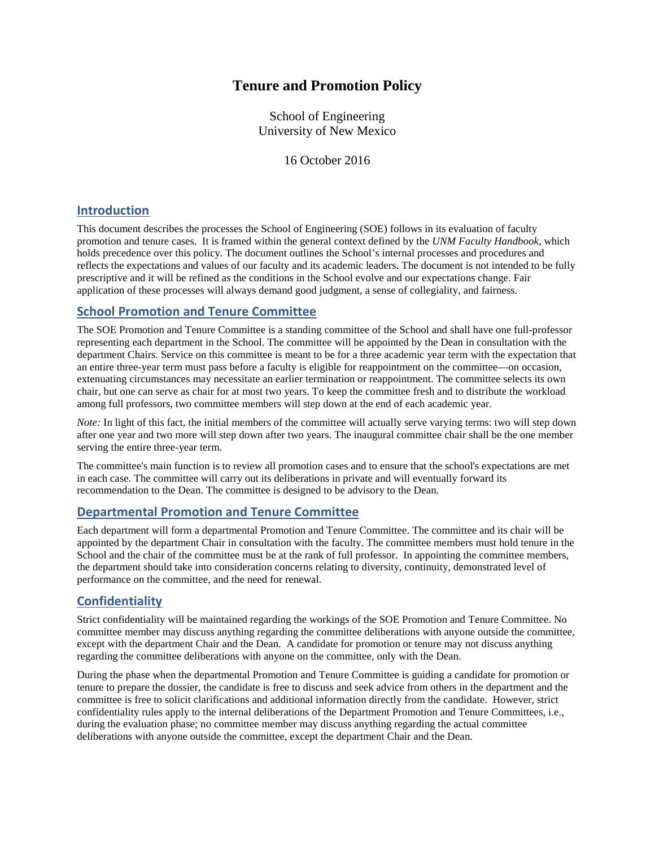# **Tenure and Promotion Policy**

School of Engineering University of New Mexico

16 October 2016

### **Introduction**

This document describes the processes the School of Engineering (SOE) follows in its evaluation of faculty promotion and tenure cases. It is framed within the general context defined by the *UNM Faculty Handbook*, which holds precedence over this policy. The document outlines the School's internal processes and procedures and reflects the expectations and values of our faculty and its academic leaders. The document is not intended to be fully prescriptive and it will be refined as the conditions in the School evolve and our expectations change. Fair application of these processes will always demand good judgment, a sense of collegiality, and fairness.

# **School Promotion and Tenure Committee**

The SOE Promotion and Tenure Committee is a standing committee of the School and shall have one full-professor representing each department in the School. The committee will be appointed by the Dean in consultation with the department Chairs. Service on this committee is meant to be for a three academic year term with the expectation that an entire three-year term must pass before a faculty is eligible for reappointment on the committee—on occasion, extenuating circumstances may necessitate an earlier termination or reappointment. The committee selects its own chair, but one can serve as chair for at most two years. To keep the committee fresh and to distribute the workload among full professors, two committee members will step down at the end of each academic year.

*Note:* In light of this fact, the initial members of the committee will actually serve varying terms: two will step down after one year and two more will step down after two years. The inaugural committee chair shall be the one member serving the entire three-year term.

The committee's main function is to review all promotion cases and to ensure that the school's expectations are met in each case. The committee will carry out its deliberations in private and will eventually forward its recommendation to the Dean. The committee is designed to be advisory to the Dean.

### **Departmental Promotion and Tenure Committee**

Each department will form a departmental Promotion and Tenure Committee. The committee and its chair will be appointed by the department Chair in consultation with the faculty. The committee members must hold tenure in the School and the chair of the committee must be at the rank of full professor. In appointing the committee members, the department should take into consideration concerns relating to diversity, continuity, demonstrated level of performance on the committee, and the need for renewal.

### **Confidentiality**

Strict confidentiality will be maintained regarding the workings of the SOE Promotion and Tenure Committee. No committee member may discuss anything regarding the committee deliberations with anyone outside the committee, except with the department Chair and the Dean. A candidate for promotion or tenure may not discuss anything regarding the committee deliberations with anyone on the committee, only with the Dean.

During the phase when the departmental Promotion and Tenure Committee is guiding a candidate for promotion or tenure to prepare the dossier, the candidate is free to discuss and seek advice from others in the department and the committee is free to solicit clarifications and additional information directly from the candidate. However, strict confidentiality rules apply to the internal deliberations of the Department Promotion and Tenure Committees, i.e., during the evaluation phase; no committee member may discuss anything regarding the actual committee deliberations with anyone outside the committee, except the department Chair and the Dean.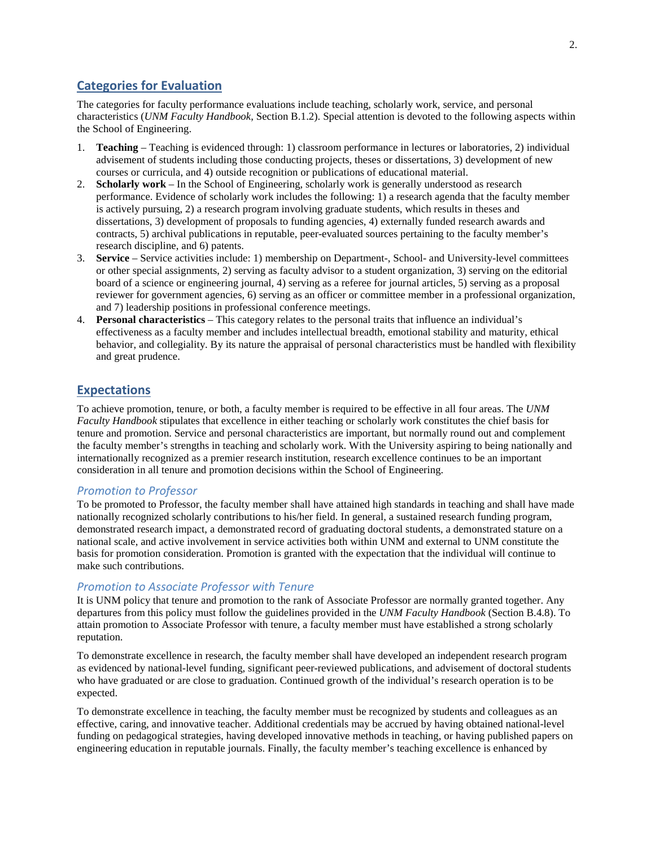### **Categories for Evaluation**

The categories for faculty performance evaluations include teaching, scholarly work, service, and personal characteristics (*UNM Faculty Handbook*, Section B.1.2). Special attention is devoted to the following aspects within the School of Engineering.

- 1. **Teaching** Teaching is evidenced through: 1) classroom performance in lectures or laboratories, 2) individual advisement of students including those conducting projects, theses or dissertations, 3) development of new courses or curricula, and 4) outside recognition or publications of educational material.
- 2. **Scholarly work** In the School of Engineering, scholarly work is generally understood as research performance. Evidence of scholarly work includes the following: 1) a research agenda that the faculty member is actively pursuing, 2) a research program involving graduate students, which results in theses and dissertations, 3) development of proposals to funding agencies, 4) externally funded research awards and contracts, 5) archival publications in reputable, peer-evaluated sources pertaining to the faculty member's research discipline, and 6) patents.
- 3. **Service** Service activities include: 1) membership on Department-, School- and University-level committees or other special assignments, 2) serving as faculty advisor to a student organization, 3) serving on the editorial board of a science or engineering journal, 4) serving as a referee for journal articles, 5) serving as a proposal reviewer for government agencies, 6) serving as an officer or committee member in a professional organization, and 7) leadership positions in professional conference meetings.
- 4. **Personal characteristics** This category relates to the personal traits that influence an individual's effectiveness as a faculty member and includes intellectual breadth, emotional stability and maturity, ethical behavior, and collegiality. By its nature the appraisal of personal characteristics must be handled with flexibility and great prudence.

# **Expectations**

To achieve promotion, tenure, or both, a faculty member is required to be effective in all four areas. The *UNM Faculty Handbook* stipulates that excellence in either teaching or scholarly work constitutes the chief basis for tenure and promotion. Service and personal characteristics are important, but normally round out and complement the faculty member's strengths in teaching and scholarly work. With the University aspiring to being nationally and internationally recognized as a premier research institution, research excellence continues to be an important consideration in all tenure and promotion decisions within the School of Engineering.

#### *Promotion to Professor*

To be promoted to Professor, the faculty member shall have attained high standards in teaching and shall have made nationally recognized scholarly contributions to his/her field. In general, a sustained research funding program, demonstrated research impact, a demonstrated record of graduating doctoral students, a demonstrated stature on a national scale, and active involvement in service activities both within UNM and external to UNM constitute the basis for promotion consideration. Promotion is granted with the expectation that the individual will continue to make such contributions.

#### *Promotion to Associate Professor with Tenure*

It is UNM policy that tenure and promotion to the rank of Associate Professor are normally granted together. Any departures from this policy must follow the guidelines provided in the *UNM Faculty Handbook* (Section B.4.8). To attain promotion to Associate Professor with tenure, a faculty member must have established a strong scholarly reputation.

To demonstrate excellence in research, the faculty member shall have developed an independent research program as evidenced by national-level funding, significant peer-reviewed publications, and advisement of doctoral students who have graduated or are close to graduation. Continued growth of the individual's research operation is to be expected.

To demonstrate excellence in teaching, the faculty member must be recognized by students and colleagues as an effective, caring, and innovative teacher. Additional credentials may be accrued by having obtained national-level funding on pedagogical strategies, having developed innovative methods in teaching, or having published papers on engineering education in reputable journals. Finally, the faculty member's teaching excellence is enhanced by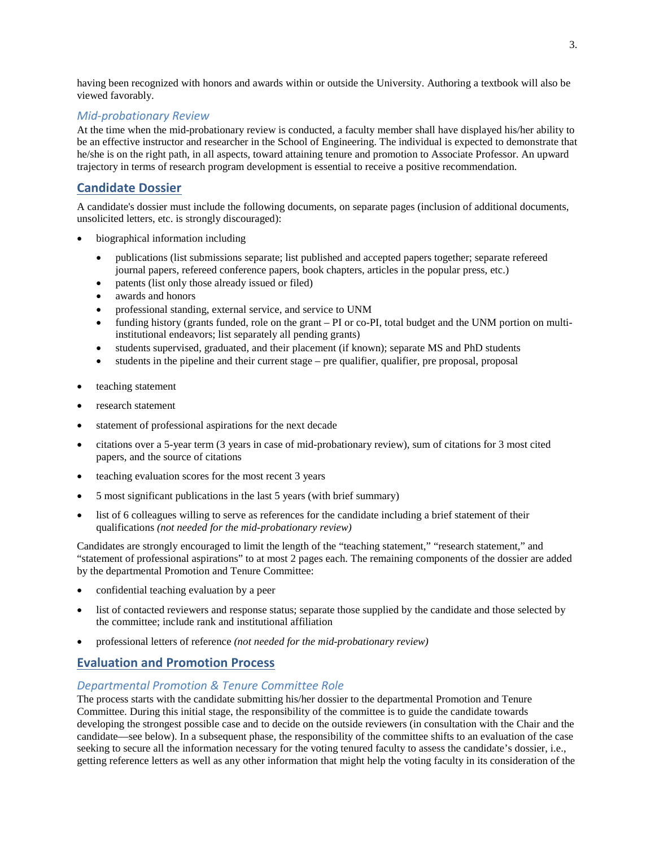having been recognized with honors and awards within or outside the University. Authoring a textbook will also be viewed favorably.

### *Mid-probationary Review*

At the time when the mid-probationary review is conducted, a faculty member shall have displayed his/her ability to be an effective instructor and researcher in the School of Engineering. The individual is expected to demonstrate that he/she is on the right path, in all aspects, toward attaining tenure and promotion to Associate Professor. An upward trajectory in terms of research program development is essential to receive a positive recommendation.

### **Candidate Dossier**

A candidate's dossier must include the following documents, on separate pages (inclusion of additional documents, unsolicited letters, etc. is strongly discouraged):

- biographical information including
	- publications (list submissions separate; list published and accepted papers together; separate refereed journal papers, refereed conference papers, book chapters, articles in the popular press, etc.)
	- patents (list only those already issued or filed)
	- awards and honors
	- professional standing, external service, and service to UNM
	- funding history (grants funded, role on the grant PI or co-PI, total budget and the UNM portion on multiinstitutional endeavors; list separately all pending grants)
	- students supervised, graduated, and their placement (if known); separate MS and PhD students
	- students in the pipeline and their current stage pre qualifier, qualifier, pre proposal, proposal
- teaching statement
- research statement
- statement of professional aspirations for the next decade
- citations over a 5-year term (3 years in case of mid-probationary review), sum of citations for 3 most cited papers, and the source of citations
- teaching evaluation scores for the most recent 3 years
- 5 most significant publications in the last 5 years (with brief summary)
- list of 6 colleagues willing to serve as references for the candidate including a brief statement of their qualifications *(not needed for the mid-probationary review)*

Candidates are strongly encouraged to limit the length of the "teaching statement," "research statement," and "statement of professional aspirations" to at most 2 pages each. The remaining components of the dossier are added by the departmental Promotion and Tenure Committee:

- confidential teaching evaluation by a peer
- list of contacted reviewers and response status; separate those supplied by the candidate and those selected by the committee; include rank and institutional affiliation
- professional letters of reference *(not needed for the mid-probationary review)*

# **Evaluation and Promotion Process**

#### *Departmental Promotion & Tenure Committee Role*

The process starts with the candidate submitting his/her dossier to the departmental Promotion and Tenure Committee. During this initial stage, the responsibility of the committee is to guide the candidate towards developing the strongest possible case and to decide on the outside reviewers (in consultation with the Chair and the candidate—see below). In a subsequent phase, the responsibility of the committee shifts to an evaluation of the case seeking to secure all the information necessary for the voting tenured faculty to assess the candidate's dossier, i.e., getting reference letters as well as any other information that might help the voting faculty in its consideration of the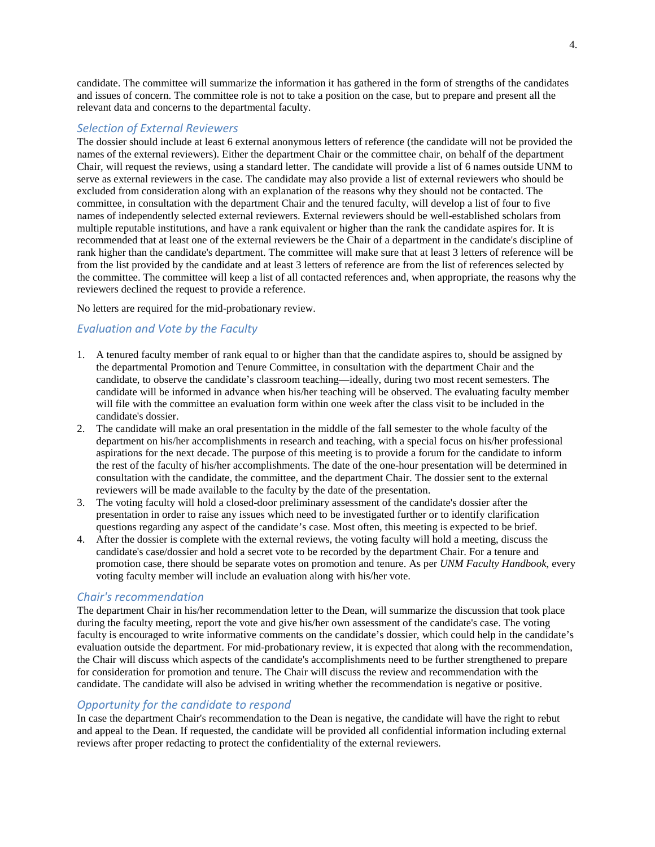candidate. The committee will summarize the information it has gathered in the form of strengths of the candidates and issues of concern. The committee role is not to take a position on the case, but to prepare and present all the relevant data and concerns to the departmental faculty.

#### *Selection of External Reviewers*

The dossier should include at least 6 external anonymous letters of reference (the candidate will not be provided the names of the external reviewers). Either the department Chair or the committee chair, on behalf of the department Chair, will request the reviews, using a standard letter. The candidate will provide a list of 6 names outside UNM to serve as external reviewers in the case. The candidate may also provide a list of external reviewers who should be excluded from consideration along with an explanation of the reasons why they should not be contacted. The committee, in consultation with the department Chair and the tenured faculty, will develop a list of four to five names of independently selected external reviewers. External reviewers should be well-established scholars from multiple reputable institutions, and have a rank equivalent or higher than the rank the candidate aspires for. It is recommended that at least one of the external reviewers be the Chair of a department in the candidate's discipline of rank higher than the candidate's department. The committee will make sure that at least 3 letters of reference will be from the list provided by the candidate and at least 3 letters of reference are from the list of references selected by the committee. The committee will keep a list of all contacted references and, when appropriate, the reasons why the reviewers declined the request to provide a reference.

No letters are required for the mid-probationary review.

### *Evaluation and Vote by the Faculty*

- 1. A tenured faculty member of rank equal to or higher than that the candidate aspires to, should be assigned by the departmental Promotion and Tenure Committee, in consultation with the department Chair and the candidate, to observe the candidate's classroom teaching—ideally, during two most recent semesters. The candidate will be informed in advance when his/her teaching will be observed. The evaluating faculty member will file with the committee an evaluation form within one week after the class visit to be included in the candidate's dossier.
- 2. The candidate will make an oral presentation in the middle of the fall semester to the whole faculty of the department on his/her accomplishments in research and teaching, with a special focus on his/her professional aspirations for the next decade. The purpose of this meeting is to provide a forum for the candidate to inform the rest of the faculty of his/her accomplishments. The date of the one-hour presentation will be determined in consultation with the candidate, the committee, and the department Chair. The dossier sent to the external reviewers will be made available to the faculty by the date of the presentation.
- 3. The voting faculty will hold a closed-door preliminary assessment of the candidate's dossier after the presentation in order to raise any issues which need to be investigated further or to identify clarification questions regarding any aspect of the candidate's case. Most often, this meeting is expected to be brief.
- 4. After the dossier is complete with the external reviews, the voting faculty will hold a meeting, discuss the candidate's case/dossier and hold a secret vote to be recorded by the department Chair. For a tenure and promotion case, there should be separate votes on promotion and tenure. As per *UNM Faculty Handbook*, every voting faculty member will include an evaluation along with his/her vote.

### *Chair's recommendation*

The department Chair in his/her recommendation letter to the Dean, will summarize the discussion that took place during the faculty meeting, report the vote and give his/her own assessment of the candidate's case. The voting faculty is encouraged to write informative comments on the candidate's dossier, which could help in the candidate's evaluation outside the department. For mid-probationary review, it is expected that along with the recommendation, the Chair will discuss which aspects of the candidate's accomplishments need to be further strengthened to prepare for consideration for promotion and tenure. The Chair will discuss the review and recommendation with the candidate. The candidate will also be advised in writing whether the recommendation is negative or positive.

### *Opportunity for the candidate to respond*

In case the department Chair's recommendation to the Dean is negative, the candidate will have the right to rebut and appeal to the Dean. If requested, the candidate will be provided all confidential information including external reviews after proper redacting to protect the confidentiality of the external reviewers.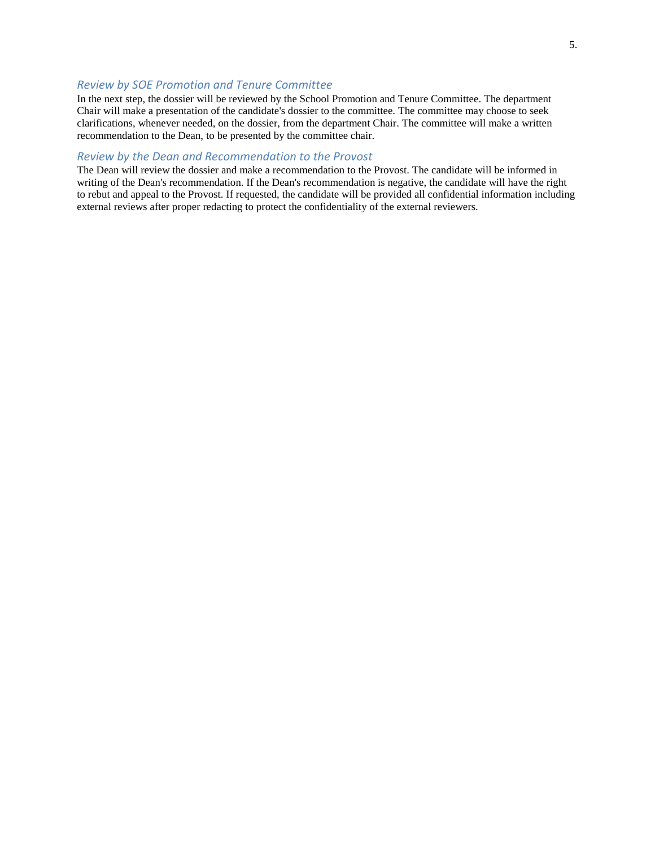#### *Review by SOE Promotion and Tenure Committee*

In the next step, the dossier will be reviewed by the School Promotion and Tenure Committee. The department Chair will make a presentation of the candidate's dossier to the committee. The committee may choose to seek clarifications, whenever needed, on the dossier, from the department Chair. The committee will make a written recommendation to the Dean, to be presented by the committee chair.

#### *Review by the Dean and Recommendation to the Provost*

The Dean will review the dossier and make a recommendation to the Provost. The candidate will be informed in writing of the Dean's recommendation. If the Dean's recommendation is negative, the candidate will have the right to rebut and appeal to the Provost. If requested, the candidate will be provided all confidential information including external reviews after proper redacting to protect the confidentiality of the external reviewers.